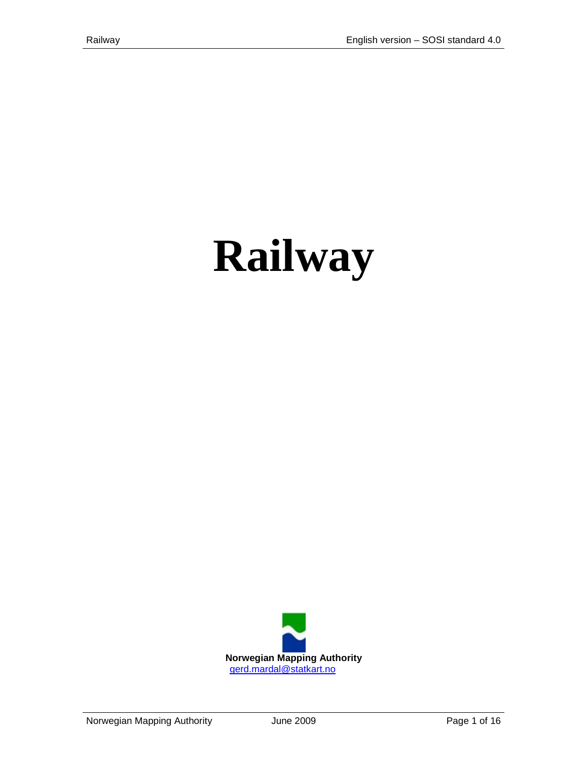# **Railway**

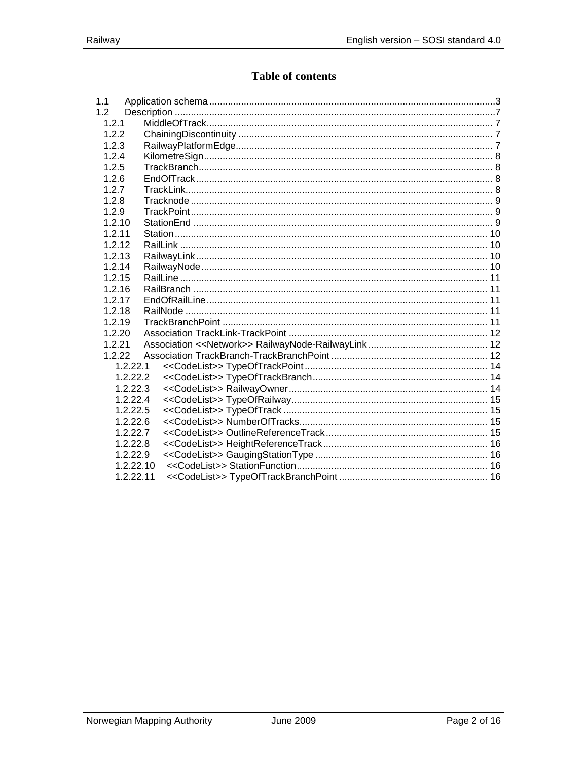# Table of contents

| 1.1       |  |
|-----------|--|
| 1.2       |  |
| 1.2.1     |  |
| 1.2.2     |  |
| 1.2.3     |  |
| 1.2.4     |  |
| 1.2.5     |  |
| 1.2.6     |  |
| 1.2.7     |  |
| 1.2.8     |  |
| 1.2.9     |  |
| 1.2.10    |  |
| 1.2.11    |  |
| 1.2.12    |  |
| 1.2.13    |  |
| 1.2.14    |  |
| 1.2.15    |  |
| 1.2.16    |  |
| 1.2.17    |  |
| 1.2.18    |  |
| 1.2.19    |  |
| 1.2.20    |  |
| 1.2.21    |  |
| 1.2.22    |  |
| 1.2.22.1  |  |
| 1.2.22.2  |  |
| 1.2.22.3  |  |
| 1.2.22.4  |  |
| 1.2.22.5  |  |
| 1.2.22.6  |  |
| 1.2.22.7  |  |
| 1.2.22.8  |  |
| 1.2.22.9  |  |
| 1.2.22.10 |  |
| 1.2.22.11 |  |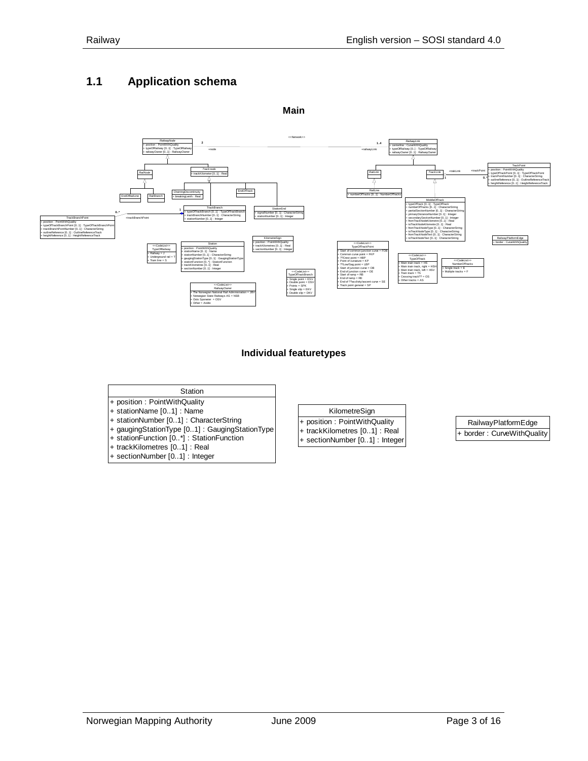## <span id="page-2-0"></span>**1.1 Application schema**





#### **Individual featuretypes**

#### **Station**

- + position : PointWithQuality
- + stationName [0..1] : Name
- + stationNumber [0..1] : CharacterString
- + gaugingStationType [0..1] : GaugingStationType + stationFunction [0..\*] : StationFunction
- + trackKilometres [0..1] : Real
- + sectionNumber [0..1] : Integer

#### KilometreSign

- + position : PointWithQuality + trackKilometres [0..1] : Real
- + sectionNumber [0..1] : Integer

RailwayPlatformEdge border : CurveWithQuality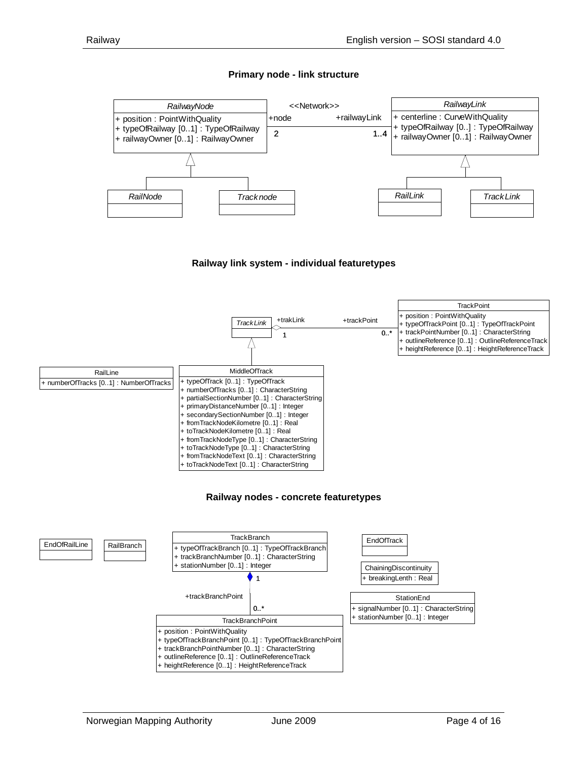#### **Primary node - link structure**



#### **Railway link system - individual featuretypes**

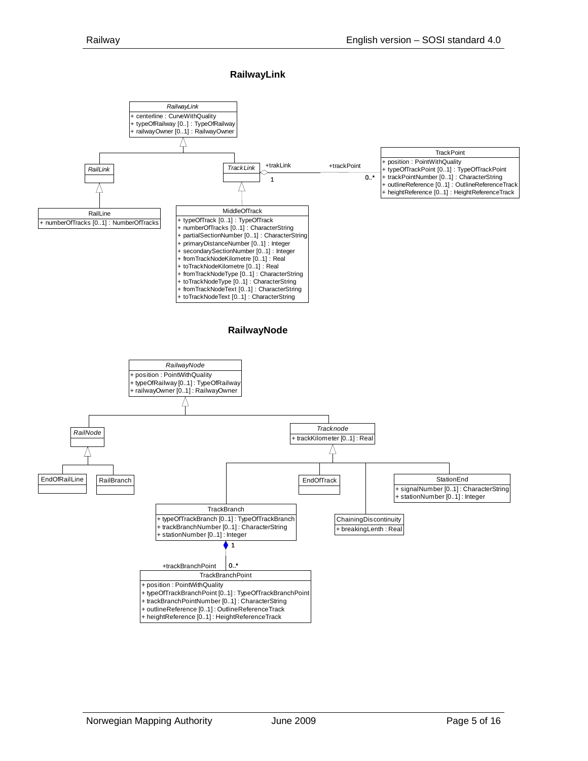**RailwayLink** 

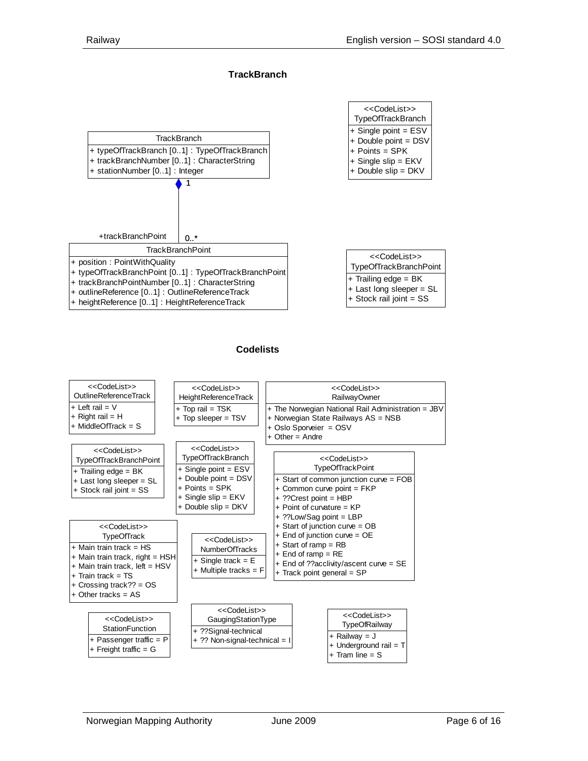<<CodeList>>

<<CodeList>>

#### **TrackBranch**



# **Codelists**

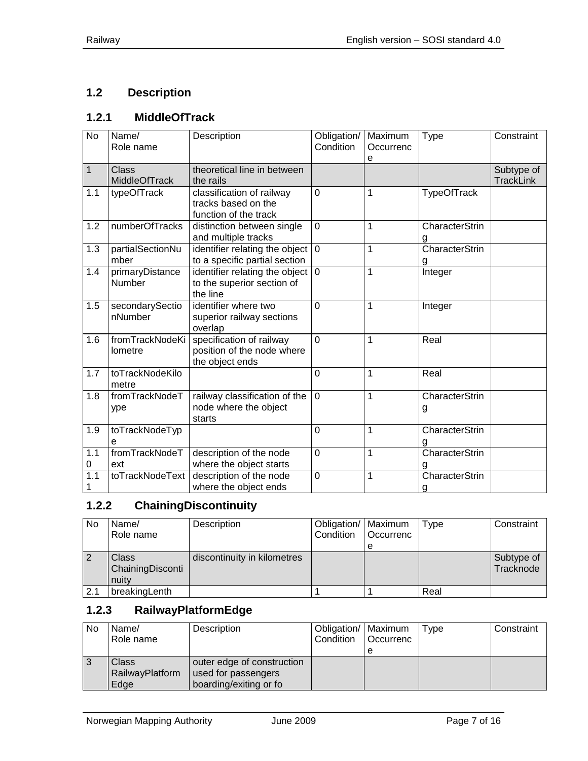# <span id="page-6-0"></span>**1.2 Description**

# <span id="page-6-1"></span>**1.2.1 MiddleOfTrack**

| $\overline{N}$ | Name/<br>Role name               | Description                                                               | Obligation/<br>Condition | Maximum<br>Occurrenc<br>e | Type                       | Constraint                     |
|----------------|----------------------------------|---------------------------------------------------------------------------|--------------------------|---------------------------|----------------------------|--------------------------------|
| $\mathbf{1}$   | Class<br><b>MiddleOfTrack</b>    | theoretical line in between<br>the rails                                  |                          |                           |                            | Subtype of<br><b>TrackLink</b> |
| 1.1            | typeOfTrack                      | classification of railway<br>tracks based on the<br>function of the track | $\mathbf 0$              | 1                         | <b>TypeOfTrack</b>         |                                |
| 1.2            | numberOfTracks                   | distinction between single<br>and multiple tracks                         | $\overline{0}$           | $\mathbf 1$               | <b>CharacterStrin</b><br>g |                                |
| 1.3            | partialSectionNu<br>mber         | identifier relating the object<br>to a specific partial section           | $\mathbf 0$              | $\mathbf 1$               | <b>CharacterStrin</b><br>g |                                |
| 1.4            | primaryDistance<br><b>Number</b> | identifier relating the object<br>to the superior section of<br>the line  | $\mathbf{0}$             | 1                         | Integer                    |                                |
| 1.5            | secondarySectio<br>nNumber       | identifier where two<br>superior railway sections<br>overlap              | $\overline{0}$           | 1                         | Integer                    |                                |
| 1.6            | fromTrackNodeKi<br>lometre       | specification of railway<br>position of the node where<br>the object ends | $\overline{0}$           | 1                         | Real                       |                                |
| 1.7            | toTrackNodeKilo<br>metre         |                                                                           | $\overline{0}$           | 1                         | Real                       |                                |
| 1.8            | fromTrackNodeT<br>ype            | railway classification of the<br>node where the object<br>starts          | $\mathbf 0$              | 1                         | CharacterStrin<br>g        |                                |
| 1.9            | toTrackNodeTyp<br>е              |                                                                           | $\overline{0}$           | 1                         | CharacterStrin<br>g        |                                |
| 1.1<br>0       | fromTrackNodeT<br>ext            | description of the node<br>where the object starts                        | $\overline{0}$           | 1                         | <b>CharacterStrin</b><br>a |                                |
| 1.1<br>1       | toTrackNodeText                  | description of the node<br>where the object ends                          | $\mathbf 0$              | $\overline{1}$            | CharacterStrin<br>g        |                                |

# <span id="page-6-2"></span>**1.2.2 ChainingDiscontinuity**

| No  | Name/<br>Role name                        | Description                 | Obligation/   Maximum<br>Condition | <b>Occurrenc</b><br>е | Type | Constraint              |
|-----|-------------------------------------------|-----------------------------|------------------------------------|-----------------------|------|-------------------------|
|     | <b>Class</b><br>ChainingDisconti<br>nuity | discontinuity in kilometres |                                    |                       |      | Subtype of<br>Tracknode |
| 2.1 | breakingLenth                             |                             |                                    |                       | Real |                         |

# <span id="page-6-3"></span>**1.2.3 RailwayPlatformEdge**

| No | Name/<br>Role name               | Description                                                                 | Obligation/   Maximum<br>Condition | <b>Occurrenc</b> | Type | Constraint |
|----|----------------------------------|-----------------------------------------------------------------------------|------------------------------------|------------------|------|------------|
|    | Class<br>RailwayPlatform<br>Edge | outer edge of construction<br>used for passengers<br>boarding/exiting or fo |                                    |                  |      |            |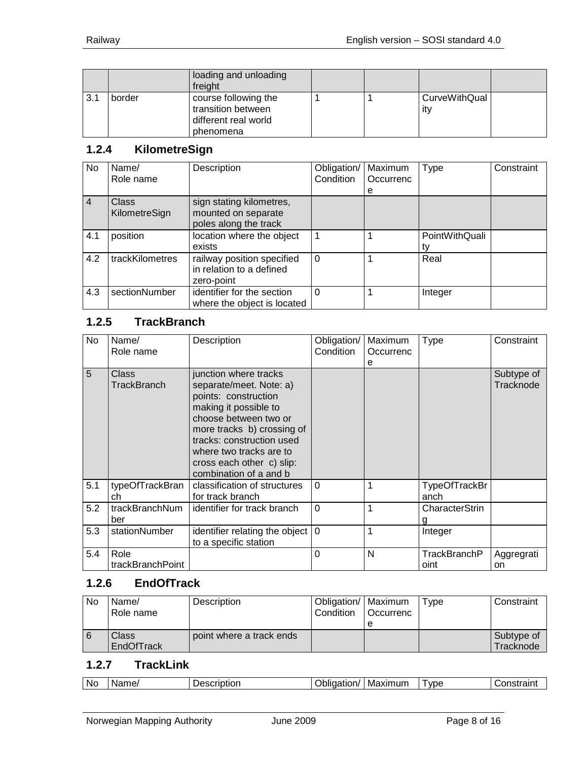|     |        | loading and unloading<br>freight                                                |  |                      |  |
|-----|--------|---------------------------------------------------------------------------------|--|----------------------|--|
| 3.1 | border | course following the<br>transition between<br>different real world<br>phenomena |  | CurveWithQual<br>itv |  |

### <span id="page-7-0"></span>**1.2.4 KilometreSign**

| No             | Name/<br>Role name            | Description                                                              | Obligation/<br>Condition | Maximum<br>Occurrenc<br>e | <b>Type</b>          | Constraint |
|----------------|-------------------------------|--------------------------------------------------------------------------|--------------------------|---------------------------|----------------------|------------|
| $\overline{4}$ | <b>Class</b><br>KilometreSign | sign stating kilometres,<br>mounted on separate<br>poles along the track |                          |                           |                      |            |
| 4.1            | position                      | location where the object<br>exists                                      | 1                        |                           | PointWithQuali<br>tv |            |
| 4.2            | trackKilometres               | railway position specified<br>in relation to a defined<br>zero-point     | $\Omega$                 |                           | Real                 |            |
| 4.3            | sectionNumber                 | identifier for the section<br>where the object is located                | $\Omega$                 |                           | Integer              |            |

# <span id="page-7-1"></span>**1.2.5 TrackBranch**

| No  | Name/<br>Role name          | Description                                                                                                                                                                                                                                                             | Obligation/<br>Condition | Maximum<br>Occurrenc<br>е | Type                  | Constraint              |
|-----|-----------------------------|-------------------------------------------------------------------------------------------------------------------------------------------------------------------------------------------------------------------------------------------------------------------------|--------------------------|---------------------------|-----------------------|-------------------------|
| 5   | Class<br><b>TrackBranch</b> | junction where tracks<br>separate/meet. Note: a)<br>points: construction<br>making it possible to<br>choose between two or<br>more tracks b) crossing of<br>tracks: construction used<br>where two tracks are to<br>cross each other c) slip:<br>combination of a and b |                          |                           |                       | Subtype of<br>Tracknode |
| 5.1 | typeOfTrackBran<br>ch       | classification of structures<br>for track branch                                                                                                                                                                                                                        | $\Omega$                 |                           | TypeOfTrackBr<br>anch |                         |
| 5.2 | trackBranchNum<br>ber       | identifier for track branch                                                                                                                                                                                                                                             | $\Omega$                 | 1                         | CharacterStrin        |                         |
| 5.3 | stationNumber               | identifier relating the object<br>to a specific station                                                                                                                                                                                                                 | $\Omega$                 | 1                         | Integer               |                         |
| 5.4 | Role<br>trackBranchPoint    |                                                                                                                                                                                                                                                                         | 0                        | N                         | TrackBranchP<br>oint  | Aggregrati<br>on        |

#### <span id="page-7-2"></span>**1.2.6 EndOfTrack**

| No | Name/<br>Role name  | Description              | Obligation/   Maximum<br>Condition | <b>Occurrenc</b> | Tvpe | Constraint              |
|----|---------------------|--------------------------|------------------------------------|------------------|------|-------------------------|
|    | Class<br>EndOfTrack | point where a track ends |                                    |                  |      | Subtype of<br>Tracknode |

## <span id="page-7-3"></span>**1.2.7 TrackLink**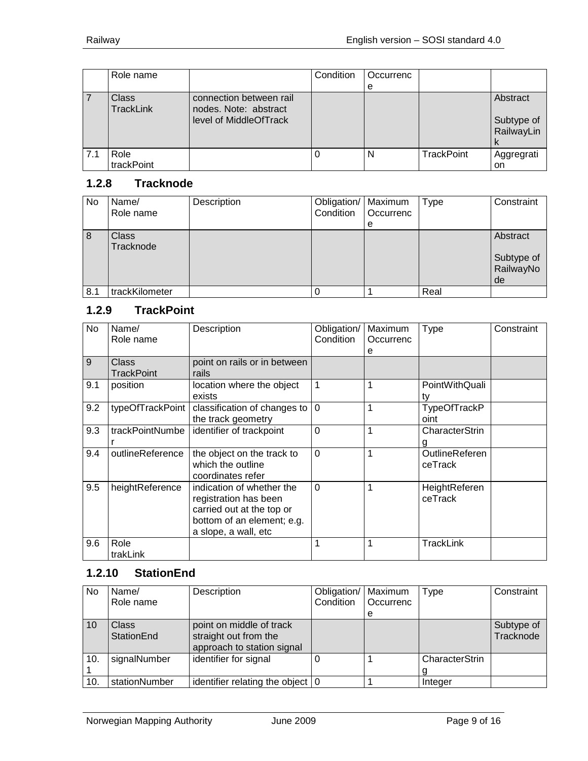|     | Role name                 |                                                                            | Condition | Occurrenc |                   |                                           |
|-----|---------------------------|----------------------------------------------------------------------------|-----------|-----------|-------------------|-------------------------------------------|
|     |                           |                                                                            |           | e         |                   |                                           |
|     | Class<br><b>TrackLink</b> | connection between rail<br>nodes. Note: abstract<br>level of MiddleOfTrack |           |           |                   | Abstract<br>Subtype of<br>RailwayLin<br>N |
| 7.1 | Role<br>trackPoint        |                                                                            |           | N         | <b>TrackPoint</b> | Aggregrati<br>on                          |

# <span id="page-8-0"></span>**1.2.8 Tracknode**

| <b>No</b> | Name/<br>Role name | Description | Obligation/   Maximum<br>Condition | Occurrenc | Type | Constraint                                |
|-----------|--------------------|-------------|------------------------------------|-----------|------|-------------------------------------------|
|           |                    |             |                                    | е         |      |                                           |
| 8         | Class<br>Tracknode |             |                                    |           |      | Abstract<br>Subtype of<br>RailwayNo<br>de |
| 8.1       | trackKilometer     |             |                                    |           | Real |                                           |

# <span id="page-8-1"></span>**1.2.9 TrackPoint**

| No  | Name/<br>Role name  | Description                                                                                                                           | Obligation/<br>Condition | Maximum<br>Occurrenc<br>е | <b>Type</b>                      | Constraint |
|-----|---------------------|---------------------------------------------------------------------------------------------------------------------------------------|--------------------------|---------------------------|----------------------------------|------------|
| 9   | Class<br>TrackPoint | point on rails or in between<br>rails                                                                                                 |                          |                           |                                  |            |
| 9.1 | position            | location where the object<br>exists                                                                                                   | $\mathbf{1}$             | 1                         | PointWithQuali<br>tv             |            |
| 9.2 | typeOfTrackPoint    | classification of changes to<br>the track geometry                                                                                    | $\Omega$                 | 1                         | TypeOfTrackP<br>oint             |            |
| 9.3 | trackPointNumbe     | identifier of trackpoint                                                                                                              | $\overline{0}$           | 1                         | CharacterStrin<br>g              |            |
| 9.4 | outlineReference    | the object on the track to<br>which the outline<br>coordinates refer                                                                  | $\Omega$                 | 1                         | <b>OutlineReferen</b><br>ceTrack |            |
| 9.5 | heightReference     | indication of whether the<br>registration has been<br>carried out at the top or<br>bottom of an element; e.g.<br>a slope, a wall, etc | $\Omega$                 | 1                         | HeightReferen<br>ceTrack         |            |
| 9.6 | Role<br>trakLink    |                                                                                                                                       | 1                        | 1                         | TrackLink                        |            |

## <span id="page-8-2"></span>**1.2.10 StationEnd**

| <b>No</b> | Name/<br>Role name         | Description                                                                     | Obligation/   Maximum<br>Condition | Occurrenc<br>е | <b>Type</b>    | Constraint              |
|-----------|----------------------------|---------------------------------------------------------------------------------|------------------------------------|----------------|----------------|-------------------------|
| 10        | Class<br><b>StationEnd</b> | point on middle of track<br>straight out from the<br>approach to station signal |                                    |                |                | Subtype of<br>Tracknode |
| 10.       | signalNumber               | identifier for signal                                                           |                                    |                | CharacterStrin |                         |
| 10.       | stationNumber              | identifier relating the object $ 0\rangle$                                      |                                    |                | Integer        |                         |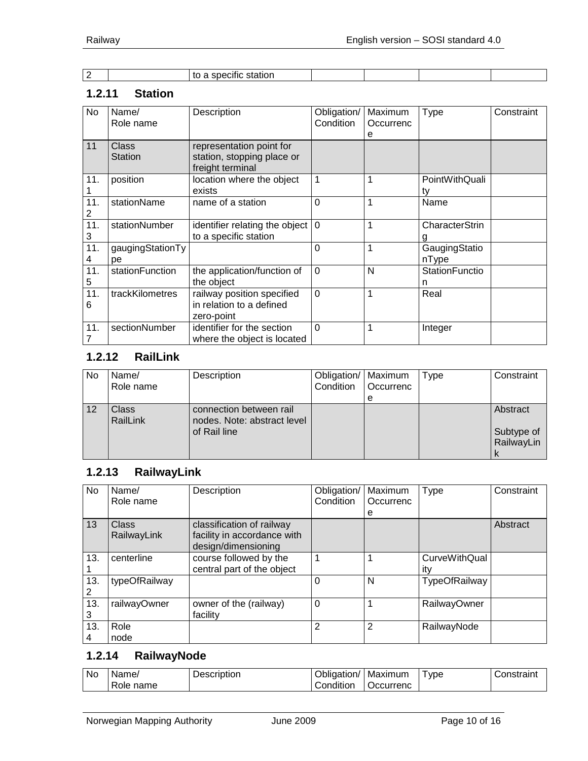| - | cific station:<br>spec |  |  |
|---|------------------------|--|--|

#### <span id="page-9-0"></span>**1.2.11 Station**

| No       | Name/<br>Role name             | Description                                                                | Obligation/<br>Condition | Maximum<br>Occurrenc<br>е | Type                   | Constraint |
|----------|--------------------------------|----------------------------------------------------------------------------|--------------------------|---------------------------|------------------------|------------|
| 11       | <b>Class</b><br><b>Station</b> | representation point for<br>station, stopping place or<br>freight terminal |                          |                           |                        |            |
| 11.      | position                       | location where the object<br>exists                                        | 1                        |                           | PointWithQuali<br>tv   |            |
| 11.<br>2 | stationName                    | name of a station                                                          | $\Omega$                 | 1                         | Name                   |            |
| 11.<br>3 | stationNumber                  | identifier relating the object $ 0\rangle$<br>to a specific station        |                          |                           | CharacterStrin         |            |
| 11.<br>4 | gaugingStationTy<br>рe         |                                                                            | $\Omega$                 | 1                         | GaugingStatio<br>nType |            |
| 11.<br>5 | stationFunction                | the application/function of<br>the object                                  | $\overline{0}$           | N                         | StationFunctio<br>n    |            |
| 11.<br>6 | trackKilometres                | railway position specified<br>in relation to a defined<br>zero-point       | $\Omega$                 | 1                         | Real                   |            |
| 11.      | sectionNumber                  | identifier for the section<br>where the object is located                  | $\Omega$                 | 1                         | Integer                |            |

# <span id="page-9-1"></span>**1.2.12 RailLink**

| No | Name/<br>Role name       | Description                                                            | Obligation/   Maximum<br>Condition | <b>Occurrenc</b> | Type | Constraint                           |
|----|--------------------------|------------------------------------------------------------------------|------------------------------------|------------------|------|--------------------------------------|
|    |                          |                                                                        |                                    | е                |      |                                      |
| 12 | <b>Class</b><br>RailLink | connection between rail<br>nodes. Note: abstract level<br>of Rail line |                                    |                  |      | Abstract<br>Subtype of<br>RailwayLin |

# <span id="page-9-2"></span>**1.2.13 RailwayLink**

| No  | Name/         | Description                 | Obligation/ | Maximum   | <b>Type</b>         | Constraint |
|-----|---------------|-----------------------------|-------------|-----------|---------------------|------------|
|     | Role name     |                             | Condition   | Occurrenc |                     |            |
|     |               |                             |             | е         |                     |            |
| 13  | Class         | classification of railway   |             |           |                     | Abstract   |
|     | RailwayLink   | facility in accordance with |             |           |                     |            |
|     |               | design/dimensioning         |             |           |                     |            |
| 13. | centerline    | course followed by the      |             |           | CurveWithQual       |            |
|     |               | central part of the object  |             |           | itv                 |            |
| 13. | typeOfRailway |                             | 0           | N         | TypeOfRailway       |            |
|     |               |                             |             |           |                     |            |
| 13. | railwayOwner  | owner of the (railway)      | $\Omega$    |           | <b>RailwayOwner</b> |            |
| 3   |               | facility                    |             |           |                     |            |
| 13. | Role          |                             | 2           | 2         | RailwayNode         |            |
| 4   | node          |                             |             |           |                     |            |

### <span id="page-9-3"></span>**1.2.14 RailwayNode**

| No | Name/             | Description | . .<br>™aation <sub>/</sub><br>טווכי | Maximum  | ype | `onotroint<br>'istrairi |
|----|-------------------|-------------|--------------------------------------|----------|-----|-------------------------|
|    | -<br>name<br>Role |             | .<br>⊜ondition                       | ccurrenc |     |                         |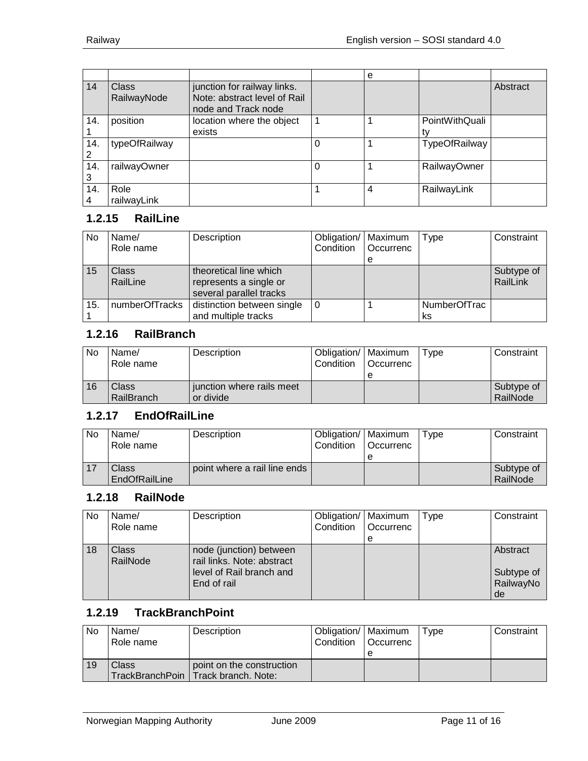|          |                      |                                                                                    |          | e              |                      |          |
|----------|----------------------|------------------------------------------------------------------------------------|----------|----------------|----------------------|----------|
| 14       | Class<br>RailwayNode | junction for railway links.<br>Note: abstract level of Rail<br>node and Track node |          |                |                      | Abstract |
| 14.      | position             | location where the object<br>exists                                                |          |                | PointWithQuali<br>tv |          |
| 14.<br>2 | typeOfRailway        |                                                                                    |          |                | TypeOfRailway        |          |
| 14.<br>3 | railwayOwner         |                                                                                    | $\Omega$ |                | <b>RailwayOwner</b>  |          |
| 14.<br>4 | Role<br>railwayLink  |                                                                                    |          | $\overline{4}$ | RailwayLink          |          |

## <span id="page-10-0"></span>**1.2.15 RailLine**

| No  | Name/<br>Role name | Description                                                                 | Obligation/   Maximum<br>Condition | <b>Occurrenc</b> | Type               | Constraint             |
|-----|--------------------|-----------------------------------------------------------------------------|------------------------------------|------------------|--------------------|------------------------|
|     |                    |                                                                             |                                    | е                |                    |                        |
| 15  | Class<br>RailLine  | theoretical line which<br>represents a single or<br>several parallel tracks |                                    |                  |                    | Subtype of<br>RailLink |
| 15. | numberOfTracks     | distinction between single<br>and multiple tracks                           | 0                                  |                  | NumberOfTrac<br>ks |                        |

## <span id="page-10-1"></span>**1.2.16 RailBranch**

| No | Name/<br>Role name  | Description                            | Obligation/   Maximum<br>Condition | l Occurrenc<br>е | Type | Constraint             |
|----|---------------------|----------------------------------------|------------------------------------|------------------|------|------------------------|
| 16 | Class<br>RailBranch | junction where rails meet<br>or divide |                                    |                  |      | Subtype of<br>RailNode |

## <span id="page-10-2"></span>**1.2.17 EndOfRailLine**

| <b>No</b> | Name/<br>Role name     | Description                  | Obligation/   Maximum<br>Condition | l Occurrenc | Tvpe | Constraint             |
|-----------|------------------------|------------------------------|------------------------------------|-------------|------|------------------------|
|           | Class<br>EndOfRailLine | point where a rail line ends |                                    |             |      | Subtype of<br>RailNode |

## <span id="page-10-3"></span>**1.2.18 RailNode**

| N <sub>o</sub> | Name/<br>Role name | Description                                                                                      | Obligation/   Maximum<br>Condition | Occurrenc | Type | Constraint                                |
|----------------|--------------------|--------------------------------------------------------------------------------------------------|------------------------------------|-----------|------|-------------------------------------------|
|                |                    |                                                                                                  |                                    | е         |      |                                           |
| 18             | Class<br>RailNode  | node (junction) between<br>rail links. Note: abstract<br>level of Rail branch and<br>End of rail |                                    |           |      | Abstract<br>Subtype of<br>RailwayNo<br>de |

#### <span id="page-10-4"></span>**1.2.19 TrackBranchPoint**

| No | Name/<br>Role name | Description                                                        | Obligation/   Maximum<br>Condition | l Occurrenc | Type | Constraint |
|----|--------------------|--------------------------------------------------------------------|------------------------------------|-------------|------|------------|
| 19 | Class              | point on the construction<br>TrackBranchPoin   Track branch. Note: |                                    |             |      |            |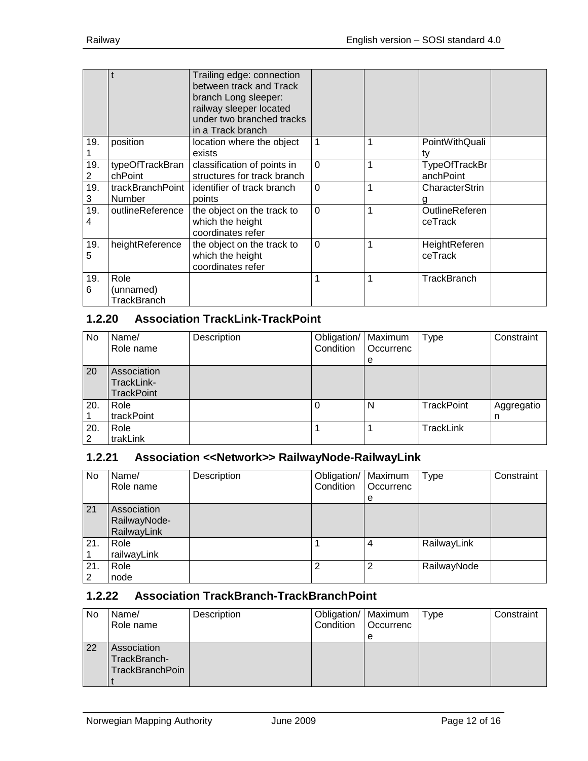|          |                                  | Trailing edge: connection<br>between track and Track<br>branch Long sleeper:<br>railway sleeper located<br>under two branched tracks<br>in a Track branch |          |   |                                  |  |
|----------|----------------------------------|-----------------------------------------------------------------------------------------------------------------------------------------------------------|----------|---|----------------------------------|--|
| 19.      | position                         | location where the object<br>exists                                                                                                                       | 1        | 1 | PointWithQuali                   |  |
| 19.<br>2 | typeOfTrackBran<br>chPoint       | classification of points in<br>structures for track branch                                                                                                | $\Omega$ | 1 | TypeOfTrackBr<br>anchPoint       |  |
| 19.<br>3 | trackBranchPoint<br>Number       | identifier of track branch<br>points                                                                                                                      | $\Omega$ | 1 | CharacterStrin                   |  |
| 19.<br>4 | outlineReference                 | the object on the track to<br>which the height<br>coordinates refer                                                                                       | $\Omega$ | 1 | <b>OutlineReferen</b><br>ceTrack |  |
| 19.<br>5 | heightReference                  | the object on the track to<br>which the height<br>coordinates refer                                                                                       | $\Omega$ | 1 | HeightReferen<br>ceTrack         |  |
| 19.<br>6 | Role<br>(unnamed)<br>TrackBranch |                                                                                                                                                           | 1        | 1 | <b>TrackBranch</b>               |  |

## <span id="page-11-0"></span>**1.2.20 Association TrackLink-TrackPoint**

| No       | Name/<br>Role name                             | Description | Obligation/   Maximum<br>Condition | Occurrenc<br>e | Type              | Constraint      |
|----------|------------------------------------------------|-------------|------------------------------------|----------------|-------------------|-----------------|
| 20       | Association<br>TrackLink-<br><b>TrackPoint</b> |             |                                    |                |                   |                 |
| 20.      | Role<br>trackPoint                             |             |                                    | N              | <b>TrackPoint</b> | Aggregatio<br>n |
| 20.<br>2 | Role<br>trakLink                               |             |                                    |                | TrackLink         |                 |

### <span id="page-11-1"></span>**1.2.21 Association <<Network>> RailwayNode-RailwayLink**

| No       | Name/<br>Role name                         | Description | Obligation/   Maximum<br>Condition | Occurrenc<br>е | Type        | Constraint |
|----------|--------------------------------------------|-------------|------------------------------------|----------------|-------------|------------|
| 21       | Association<br>RailwayNode-<br>RailwayLink |             |                                    |                |             |            |
| 21.      | Role<br>railwayLink                        |             |                                    | 4              | RailwayLink |            |
| 21.<br>2 | Role<br>node                               |             | っ                                  | 2              | RailwayNode |            |

## <span id="page-11-2"></span>**1.2.22 Association TrackBranch-TrackBranchPoint**

| No | Name/<br>Role name                                    | Description | Obligation/   Maximum<br>Condition | <b>Occurrenc</b><br>e | Type | Constraint |
|----|-------------------------------------------------------|-------------|------------------------------------|-----------------------|------|------------|
| 22 | Association<br>TrackBranch-<br><b>TrackBranchPoin</b> |             |                                    |                       |      |            |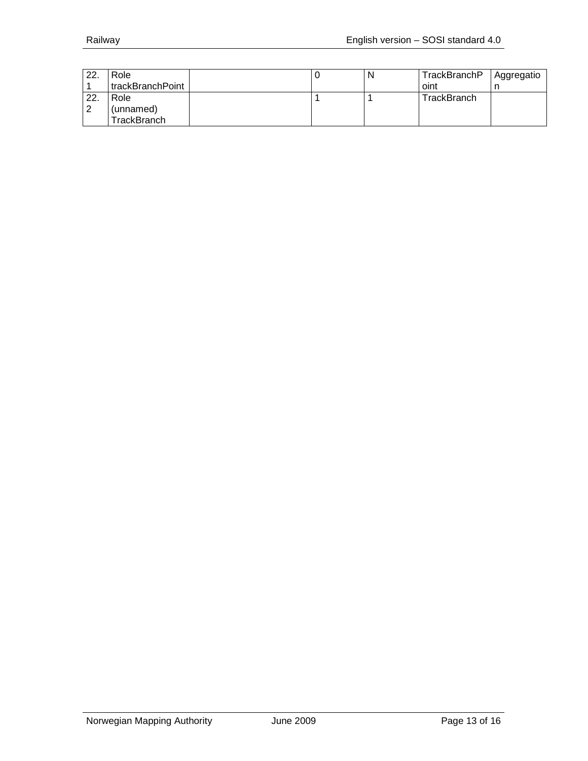| 22. | Role                 |  | TrackBranchP | Aggregatio |
|-----|----------------------|--|--------------|------------|
|     | I trackBranchPoint I |  | oint         |            |
| 22. | Role                 |  | TrackBranch  |            |
| ົ   | (unnamed)            |  |              |            |
|     | TrackBranch.         |  |              |            |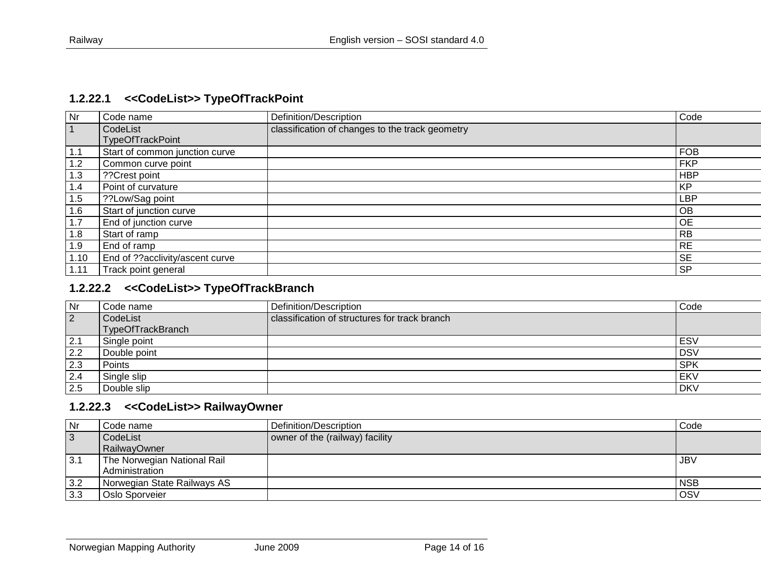#### **1.2.22.1 <<CodeList>> TypeOfTrackPoint**

| <b>Nr</b> | Code name                       | Definition/Description                          | Code       |
|-----------|---------------------------------|-------------------------------------------------|------------|
|           | CodeList                        | classification of changes to the track geometry |            |
|           | <b>TypeOfTrackPoint</b>         |                                                 |            |
| 1.1       | Start of common junction curve  |                                                 | <b>FOB</b> |
| 1.2       | Common curve point              |                                                 | <b>FKP</b> |
| 1.3       | ??Crest point                   |                                                 | <b>HBP</b> |
| 1.4       | Point of curvature              |                                                 | <b>KP</b>  |
| 1.5       | ??Low/Sag point                 |                                                 | LBP        |
| 1.6       | Start of junction curve         |                                                 | <b>OB</b>  |
| 1.7       | End of junction curve           |                                                 | <b>OE</b>  |
| 1.8       | Start of ramp                   |                                                 | <b>RB</b>  |
| 1.9       | End of ramp                     |                                                 | <b>RE</b>  |
| 1.10      | End of ??acclivity/ascent curve |                                                 | <b>SE</b>  |
| 1.11      | Track point general             |                                                 | <b>SP</b>  |

# <span id="page-13-0"></span>**1.2.22.2 <<CodeList>> TypeOfTrackBranch**

| l Nr           | Code name         | Definition/Description                        | Code       |
|----------------|-------------------|-----------------------------------------------|------------|
| $\overline{2}$ | CodeList          | classification of structures for track branch |            |
|                | TypeOfTrackBranch |                                               |            |
| 2.1            | Single point      |                                               | ESV        |
| 2.2            | Double point      |                                               | <b>DSV</b> |
| 2.3            | Points            |                                               | <b>SPK</b> |
| 2.4            | Single slip       |                                               | EKV        |
| 2.5            | Double slip       |                                               | <b>DKV</b> |

#### **1.2.22.3 <<CodeList>> RailwayOwner**

<span id="page-13-2"></span><span id="page-13-1"></span>

| Nr             | Code name                                | Definition/Description          | Code       |
|----------------|------------------------------------------|---------------------------------|------------|
| $\overline{3}$ | CodeList                                 | owner of the (railway) facility |            |
|                | RailwayOwner                             |                                 |            |
| 3.1            | <sup>I</sup> The Norwegian National Rail |                                 | JBV        |
|                | Administration                           |                                 |            |
| 3.2            | Norwegian State Railways AS              |                                 | <b>NSB</b> |
| 3.3            | Oslo Sporveier                           |                                 | OSV        |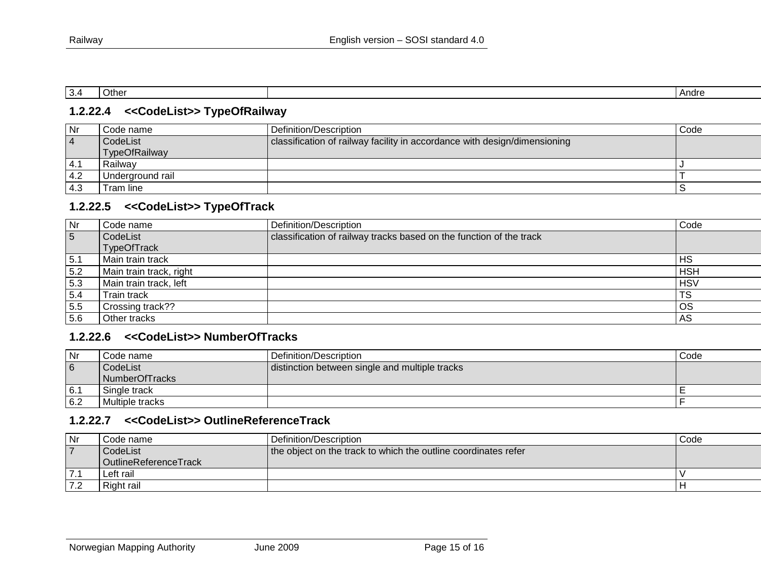| . | ′)th∈ | Andre |
|---|-------|-------|

#### **1.2.22.4 <<CodeList>> TypeOfRailway**

| Nr             | Code name        | Definition/Description                                                    | Code |
|----------------|------------------|---------------------------------------------------------------------------|------|
| $\overline{4}$ | CodeList         | classification of railway facility in accordance with design/dimensioning |      |
|                | TypeOfRailway    |                                                                           |      |
| 4.1            | Railwav          |                                                                           |      |
| 4.2            | Underground rail |                                                                           |      |
| 4.3            | Tram line        |                                                                           |      |

#### **1.2.22.5 <<CodeList>> TypeOfTrack**

<span id="page-14-0"></span>

| Nr             | Code name               | Definition/Description                                              | Code            |
|----------------|-------------------------|---------------------------------------------------------------------|-----------------|
| $\overline{5}$ | CodeList                | classification of railway tracks based on the function of the track |                 |
|                | <b>TypeOfTrack</b>      |                                                                     |                 |
| 15.1           | Main train track        |                                                                     | <b>HS</b>       |
| 5.2            | Main train track, right |                                                                     | <b>HSH</b>      |
| 5.3            | Main train track, left  |                                                                     | <b>HSV</b>      |
| 5.4            | Train track             |                                                                     | TS              |
| 5.5            | Crossing track??        |                                                                     | <b>OS</b>       |
| 5.6            | Other tracks            |                                                                     | AS <sub>5</sub> |

#### **1.2.22.6 <<CodeList>> NumberOfTracks**

<span id="page-14-1"></span>

| <b>Nr</b>      | Code name                  | Definition/Description                         | Code |
|----------------|----------------------------|------------------------------------------------|------|
| $\overline{6}$ | CodeList<br>NumberOfTracks | distinction between single and multiple tracks |      |
| 6.7            | Single track               |                                                |      |
| 6.2            | Multiple tracks            |                                                |      |

#### **1.2.22.7 <<CodeList>> OutlineReferenceTrack**

<span id="page-14-3"></span><span id="page-14-2"></span>

| Nr | Code name             | l Definition/Description_                                      | Code |
|----|-----------------------|----------------------------------------------------------------|------|
|    | CodeList              | the object on the track to which the outline coordinates refer |      |
|    | OutlineReferenceTrack |                                                                |      |
|    | Left rail             |                                                                |      |
|    | Right rail            |                                                                |      |